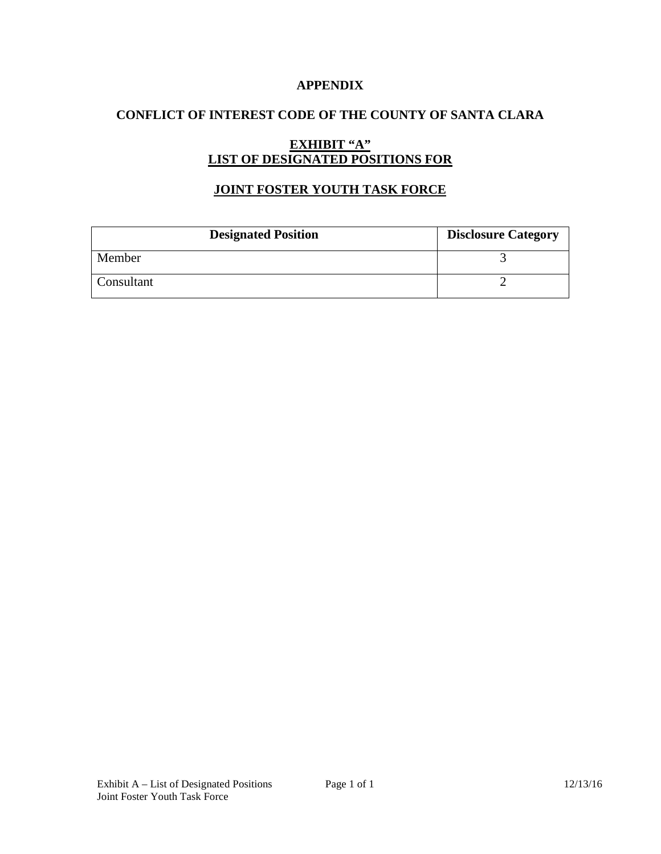### **APPENDIX**

## **CONFLICT OF INTEREST CODE OF THE COUNTY OF SANTA CLARA**

# **EXHIBIT "A" LIST OF DESIGNATED POSITIONS FOR**

## **JOINT FOSTER YOUTH TASK FORCE**

| <b>Designated Position</b> | <b>Disclosure Category</b> |
|----------------------------|----------------------------|
| Member                     |                            |
| Consultant                 |                            |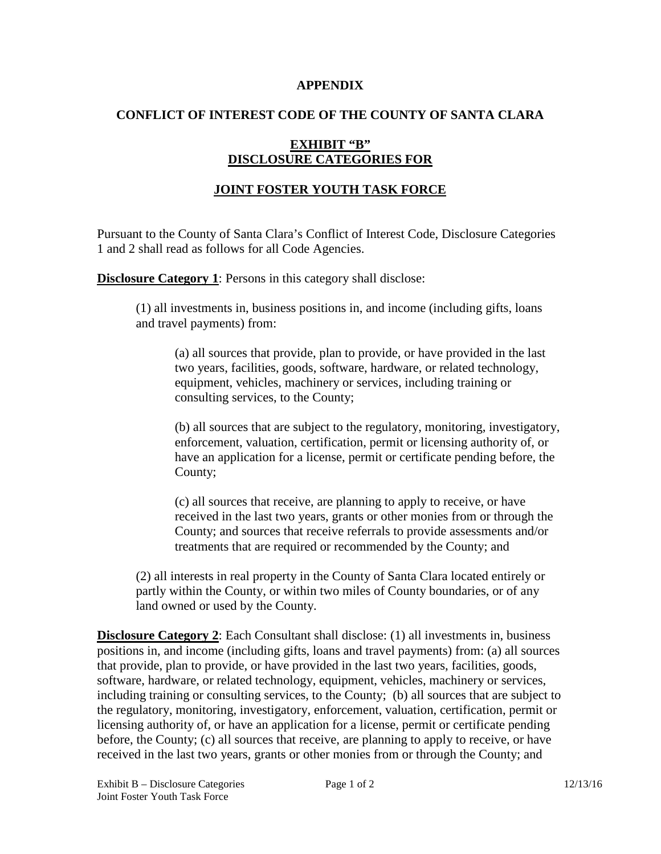#### **APPENDIX**

### **CONFLICT OF INTEREST CODE OF THE COUNTY OF SANTA CLARA**

## **EXHIBIT "B" DISCLOSURE CATEGORIES FOR**

# **JOINT FOSTER YOUTH TASK FORCE**

Pursuant to the County of Santa Clara's Conflict of Interest Code, Disclosure Categories 1 and 2 shall read as follows for all Code Agencies.

**Disclosure Category 1:** Persons in this category shall disclose:

(1) all investments in, business positions in, and income (including gifts, loans and travel payments) from:

(a) all sources that provide, plan to provide, or have provided in the last two years, facilities, goods, software, hardware, or related technology, equipment, vehicles, machinery or services, including training or consulting services, to the County;

(b) all sources that are subject to the regulatory, monitoring, investigatory, enforcement, valuation, certification, permit or licensing authority of, or have an application for a license, permit or certificate pending before, the County;

(c) all sources that receive, are planning to apply to receive, or have received in the last two years, grants or other monies from or through the County; and sources that receive referrals to provide assessments and/or treatments that are required or recommended by the County; and

(2) all interests in real property in the County of Santa Clara located entirely or partly within the County, or within two miles of County boundaries, or of any land owned or used by the County.

**Disclosure Category 2:** Each Consultant shall disclose: (1) all investments in, business positions in, and income (including gifts, loans and travel payments) from: (a) all sources that provide, plan to provide, or have provided in the last two years, facilities, goods, software, hardware, or related technology, equipment, vehicles, machinery or services, including training or consulting services, to the County; (b) all sources that are subject to the regulatory, monitoring, investigatory, enforcement, valuation, certification, permit or licensing authority of, or have an application for a license, permit or certificate pending before, the County; (c) all sources that receive, are planning to apply to receive, or have received in the last two years, grants or other monies from or through the County; and